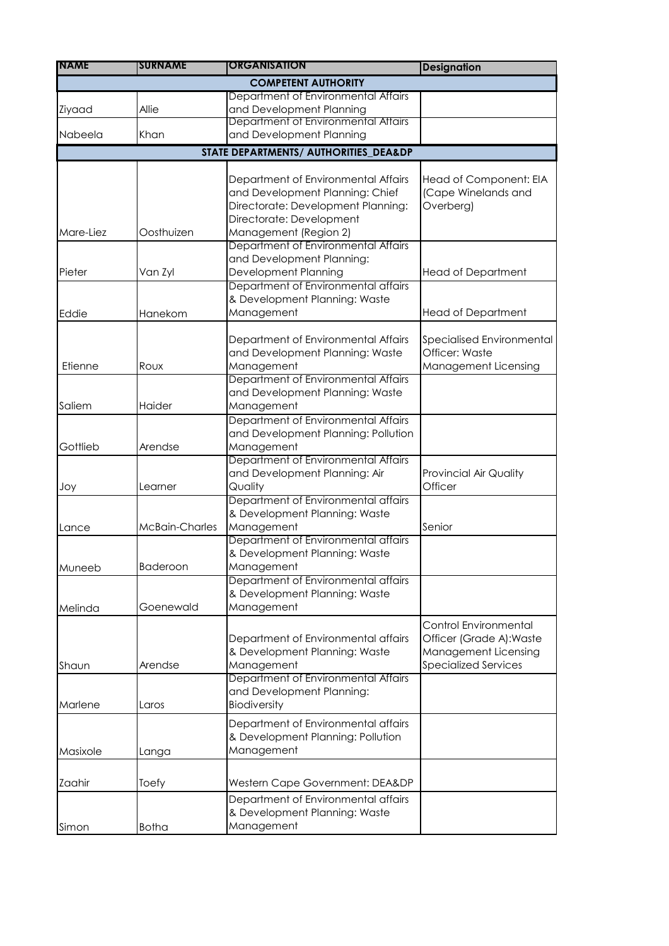| <b>INAME</b> | <b>SURNAME</b>  | <b>ORGANISATION</b>                                                                                                                      | <b>Designation</b>                                                                                       |
|--------------|-----------------|------------------------------------------------------------------------------------------------------------------------------------------|----------------------------------------------------------------------------------------------------------|
|              |                 | <b>COMPETENT AUTHORITY</b>                                                                                                               |                                                                                                          |
|              |                 | Department of Environmental Affairs                                                                                                      |                                                                                                          |
| Ziyaad       | Allie           | and Development Planning                                                                                                                 |                                                                                                          |
|              |                 | Department of Environmental Attairs                                                                                                      |                                                                                                          |
| Nabeela      | Khan            | and Development Planning                                                                                                                 |                                                                                                          |
|              |                 | STATE DEPARTMENTS/ AUTHORITIES_DEA&DP                                                                                                    |                                                                                                          |
|              |                 |                                                                                                                                          |                                                                                                          |
| Mare-Liez    | Oosthuizen      | Department of Environmental Affairs<br>and Development Planning: Chief<br>Directorate: Development Planning:<br>Directorate: Development | Head of Component: EIA<br>(Cape Winelands and<br>Overberg)                                               |
|              |                 | Management (Region 2)<br>Department of Environmental Affairs                                                                             |                                                                                                          |
| Pieter       | Van Zyl         | and Development Planning:<br>Development Planning                                                                                        | <b>Head of Department</b>                                                                                |
|              |                 | Department of Environmental affairs                                                                                                      |                                                                                                          |
|              |                 | & Development Planning: Waste<br>Management                                                                                              |                                                                                                          |
| Eddie        | Hanekom         |                                                                                                                                          | <b>Head of Department</b>                                                                                |
| Etienne      | Roux            | Department of Environmental Affairs<br>and Development Planning: Waste<br>Management                                                     | Specialised Environmental<br>Officer: Waste<br>Management Licensing                                      |
|              |                 | Department of Environmental Affairs<br>and Development Planning: Waste                                                                   |                                                                                                          |
| Saliem       | Haider          | Management                                                                                                                               |                                                                                                          |
| Gottlieb     | Arendse         | Department of Environmental Affairs<br>and Development Planning: Pollution<br>Management                                                 |                                                                                                          |
| Joy          | Learner         | Department of Environmental Affairs<br>and Development Planning: Air<br>Quality                                                          | <b>Provincial Air Quality</b><br>Officer                                                                 |
| Lance        | McBain-Charles  | Department of Environmental affairs<br>& Development Planning: Waste<br>Management                                                       | Senior                                                                                                   |
| Muneeb       | <b>Baderoon</b> | Department of Environmental affairs<br>& Development Planning: Waste<br>Management                                                       |                                                                                                          |
| Melinda      | Goenewald       | Department of Environmental affairs<br>& Development Planning: Waste<br>Management                                                       |                                                                                                          |
| Shaun        | Arendse         | Department of Environmental affairs<br>& Development Planning: Waste<br>Management                                                       | Control Environmental<br>Officer (Grade A): Waste<br>Management Licensing<br><b>Specialized Services</b> |
| Marlene      | Laros           | Department of Environmental Affairs<br>and Development Planning:<br>Biodiversity                                                         |                                                                                                          |
| Masixole     | Langa           | Department of Environmental affairs<br>& Development Planning: Pollution<br>Management                                                   |                                                                                                          |
| Zaahir       | Toefy           | Western Cape Government: DEA&DP                                                                                                          |                                                                                                          |
| Simon        | <b>Botha</b>    | Department of Environmental affairs<br>& Development Planning: Waste<br>Management                                                       |                                                                                                          |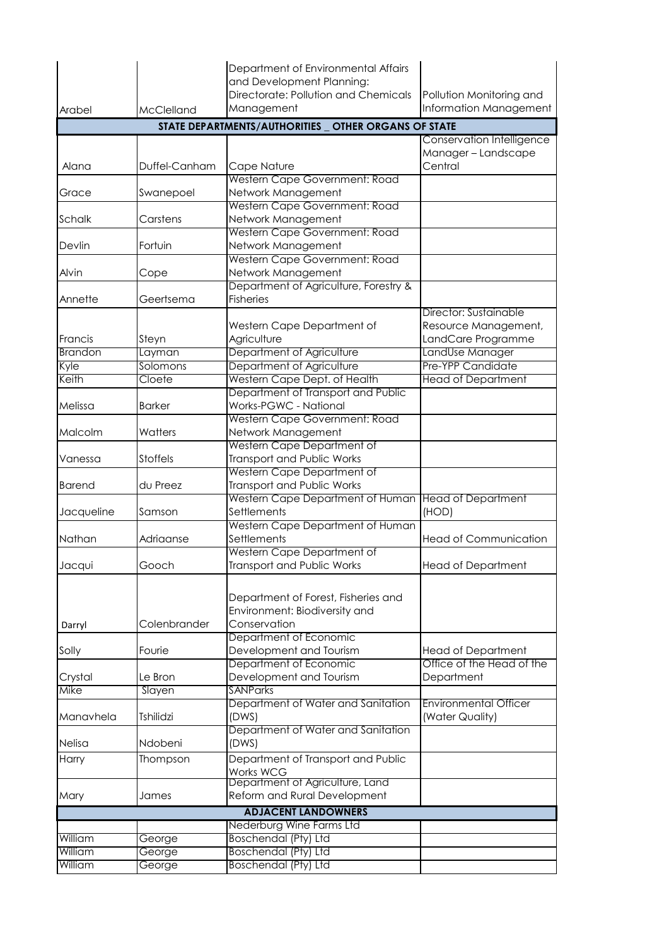|                                                       |                   | Department of Environmental Affairs             |                                            |  |  |  |
|-------------------------------------------------------|-------------------|-------------------------------------------------|--------------------------------------------|--|--|--|
|                                                       |                   | and Development Planning:                       |                                            |  |  |  |
|                                                       |                   | Directorate: Pollution and Chemicals            | Pollution Monitoring and                   |  |  |  |
| Arabel                                                | <b>McClelland</b> | Management                                      | Information Management                     |  |  |  |
| STATE DEPARTMENTS/AUTHORITIES _ OTHER ORGANS OF STATE |                   |                                                 |                                            |  |  |  |
|                                                       |                   |                                                 | Conservation Intelligence                  |  |  |  |
| Alana                                                 | Duffel-Canham     | Cape Nature                                     | Manager-Landscape<br>Central               |  |  |  |
|                                                       |                   | Western Cape Government: Road                   |                                            |  |  |  |
| Grace                                                 | Swanepoel         | Network Management                              |                                            |  |  |  |
|                                                       |                   | Western Cape Government: Road                   |                                            |  |  |  |
| Schalk                                                | Carstens          | Network Management                              |                                            |  |  |  |
|                                                       |                   | Western Cape Government: Road                   |                                            |  |  |  |
| Devlin                                                | Fortuin           | Network Management                              |                                            |  |  |  |
|                                                       |                   | Western Cape Government: Road                   |                                            |  |  |  |
| Alvin                                                 | Cope              | Network Management                              |                                            |  |  |  |
|                                                       |                   | Department of Agriculture, Forestry &           |                                            |  |  |  |
| Annette                                               | Geertsema         | <b>Fisheries</b>                                |                                            |  |  |  |
|                                                       |                   |                                                 | Director: Sustainable                      |  |  |  |
| Francis                                               | Steyn             | Western Cape Department of<br>Agriculture       | Resource Management,<br>LandCare Programme |  |  |  |
| <b>Brandon</b>                                        | Layman            | Department of Agriculture                       | LandUse Manager                            |  |  |  |
| Kyle                                                  | Solomons          | Department of Agriculture                       | Pre-YPP Candidate                          |  |  |  |
| Keith                                                 | Cloete            | Western Cape Dept. of Health                    | <b>Head of Department</b>                  |  |  |  |
|                                                       |                   | Department of Transport and Public              |                                            |  |  |  |
| Melissa                                               | <b>Barker</b>     | Works-PGWC - National                           |                                            |  |  |  |
|                                                       |                   | Western Cape Government: Road                   |                                            |  |  |  |
| Malcolm                                               | Watters           | Network Management                              |                                            |  |  |  |
|                                                       |                   | Western Cape Department of                      |                                            |  |  |  |
| Vanessa                                               | <b>Stoffels</b>   | Transport and Public Works                      |                                            |  |  |  |
|                                                       |                   | Western Cape Department of                      |                                            |  |  |  |
| <b>Barend</b>                                         | du Preez          | Transport and Public Works                      |                                            |  |  |  |
| Jacqueline                                            | Samson            | Western Cape Department of Human<br>Settlements | <b>Head of Department</b><br>(HOD)         |  |  |  |
|                                                       |                   | Western Cape Department of Human                |                                            |  |  |  |
| Nathan                                                | Adriaanse         | Settlements                                     | <b>Head of Communication</b>               |  |  |  |
|                                                       |                   | Western Cape Department of                      |                                            |  |  |  |
| Jacqui                                                | Gooch             | Transport and Public Works                      | <b>Head of Department</b>                  |  |  |  |
|                                                       |                   |                                                 |                                            |  |  |  |
|                                                       |                   | Department of Forest, Fisheries and             |                                            |  |  |  |
|                                                       |                   | Environment: Biodiversity and                   |                                            |  |  |  |
| Darryl                                                | Colenbrander      | Conservation                                    |                                            |  |  |  |
|                                                       |                   | Department of Economic                          |                                            |  |  |  |
| Solly                                                 | Fourie            | Development and Tourism                         | <b>Head of Department</b>                  |  |  |  |
|                                                       |                   | Department of Economic                          | Office of the Head of the                  |  |  |  |
| Crystal                                               | Le Bron           | Development and Tourism                         | Department                                 |  |  |  |
| Mike                                                  | Slayen            | <b>SANParks</b>                                 |                                            |  |  |  |
|                                                       |                   | Department of Water and Sanitation              | <b>Environmental Officer</b>               |  |  |  |
| Manavhela                                             | <b>Tshilidzi</b>  | (DWS)<br>Department of Water and Sanitation     | (Water Quality)                            |  |  |  |
| Nelisa                                                | Ndobeni           | (DWS)                                           |                                            |  |  |  |
| Harry                                                 | Thompson          | Department of Transport and Public              |                                            |  |  |  |
|                                                       |                   | Works WCG                                       |                                            |  |  |  |
|                                                       |                   | Department of Agriculture, Land                 |                                            |  |  |  |
| Mary                                                  | James             | Reform and Rural Development                    |                                            |  |  |  |
| <b>ADJACENT LANDOWNERS</b>                            |                   |                                                 |                                            |  |  |  |
| Nederburg Wine Farms Ltd                              |                   |                                                 |                                            |  |  |  |
| William                                               | George            | <b>Boschendal (Pty) Ltd</b>                     |                                            |  |  |  |
| William                                               | George            | <b>Boschendal (Pty) Ltd</b>                     |                                            |  |  |  |
| William                                               | George            | <b>Boschendal (Pty) Ltd</b>                     |                                            |  |  |  |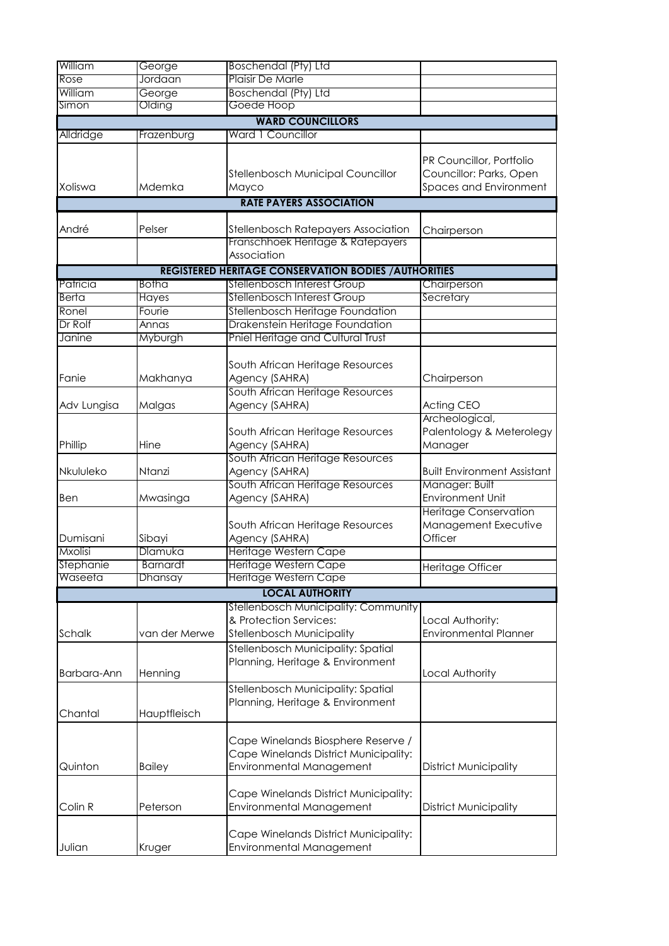| William              | George                     | <b>Boschendal (Pty) Ltd</b>                                                                             |                                                                               |
|----------------------|----------------------------|---------------------------------------------------------------------------------------------------------|-------------------------------------------------------------------------------|
| Rose                 | Jordaan                    | Plaisir De Marle                                                                                        |                                                                               |
| William              | George                     | <b>Boschendal (Pty) Ltd</b>                                                                             |                                                                               |
| Simon                | Olding                     | Goede Hoop                                                                                              |                                                                               |
|                      |                            | <b>WARD COUNCILLORS</b>                                                                                 |                                                                               |
| Alldridge            | Frazenburg                 | Ward 1 Councillor                                                                                       |                                                                               |
| Xoliswa              | Mdemka                     | Stellenbosch Municipal Councillor<br>Mayco                                                              | PR Councillor, Portfolio<br>Councillor: Parks, Open<br>Spaces and Environment |
|                      |                            | <b>RATE PAYERS ASSOCIATION</b>                                                                          |                                                                               |
|                      |                            |                                                                                                         |                                                                               |
| André                | Pelser                     | Stellenbosch Ratepayers Association<br>Franschhoek Heritage & Ratepayers                                | Chairperson                                                                   |
|                      |                            | Association                                                                                             |                                                                               |
|                      |                            | <b>REGISTERED HERITAGE CONSERVATION BODIES / AUTHORITIES</b>                                            |                                                                               |
| Patricia             | Botha                      | Stellenbosch Interest Group                                                                             | Chairperson                                                                   |
| <b>Berta</b>         | Hayes                      | Stellenbosch Interest Group                                                                             | Secretary                                                                     |
| Ronel                | Fourie                     | Stellenbosch Heritage Foundation                                                                        |                                                                               |
| Dr Rolf              | Annas                      | Drakenstein Heritage Foundation                                                                         |                                                                               |
| Janine               | Myburgh                    | Pniel Heritage and Cultural Trust                                                                       |                                                                               |
|                      |                            |                                                                                                         |                                                                               |
| Fanie                | Makhanya                   | South African Heritage Resources<br>Agency (SAHRA)                                                      | Chairperson                                                                   |
|                      |                            | South African Heritage Resources                                                                        |                                                                               |
| Adv Lungisa          | Malgas                     | Agency (SAHRA)                                                                                          | Acting CEO<br>Archeological,                                                  |
| Phillip              | Hine                       | South African Heritage Resources<br>Agency (SAHRA)                                                      | Palentology & Meterolegy<br>Manager                                           |
| Nkululeko            | Ntanzi                     | South African Heritage Resources<br>Agency (SAHRA)                                                      | <b>Built Environment Assistant</b>                                            |
| Ben                  | Mwasinga                   | South African Heritage Resources<br>Agency (SAHRA)                                                      | Manager: Built<br><b>Environment Unit</b>                                     |
| Dumisani             | Sibayi                     | South African Heritage Resources<br>Agency (SAHRA)                                                      | <b>Heritage Conservation</b><br>Management Executive<br>Officer               |
| <b>Mxolisi</b>       | Dlamuka                    | Heritage Western Cape                                                                                   |                                                                               |
| Stephanie<br>Waseeta | <b>Barnardt</b><br>Dhansay | Heritage Western Cape<br>Heritage Western Cape                                                          | Heritage Officer                                                              |
|                      |                            | <b>LOCAL AUTHORITY</b>                                                                                  |                                                                               |
|                      |                            | Stellenbosch Municipality: Community                                                                    |                                                                               |
| Schalk               | van der Merwe              | & Protection Services:<br>Stellenbosch Municipality                                                     | Local Authority:<br><b>Environmental Planner</b>                              |
| Barbara-Ann          | Henning                    | Stellenbosch Municipality: Spatial<br>Planning, Heritage & Environment                                  | Local Authority                                                               |
| Chantal              | Hauptfleisch               | Stellenbosch Municipality: Spatial<br>Planning, Heritage & Environment                                  |                                                                               |
| Quinton              | <b>Bailey</b>              | Cape Winelands Biosphere Reserve /<br>Cape Winelands District Municipality:<br>Environmental Management | <b>District Municipality</b>                                                  |
| Colin R              | Peterson                   | Cape Winelands District Municipality:<br>Environmental Management                                       | <b>District Municipality</b>                                                  |
| Julian               | Kruger                     | Cape Winelands District Municipality:<br>Environmental Management                                       |                                                                               |